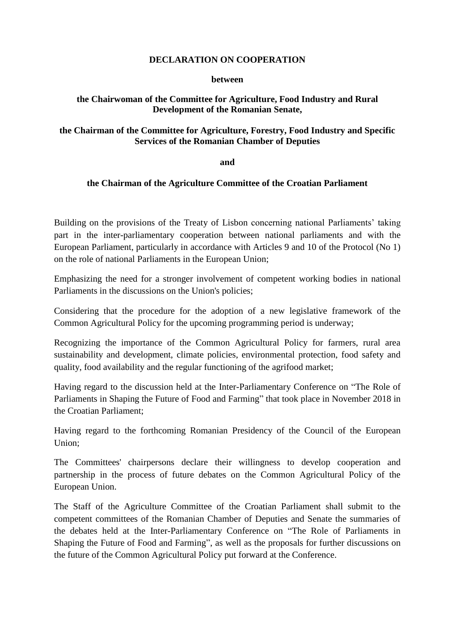## **DECLARATION ON COOPERATION**

#### **between**

# **the Chairwoman of the Committee for Agriculture, Food Industry and Rural Development of the Romanian Senate,**

## **the Chairman of the Committee for Agriculture, Forestry, Food Industry and Specific Services of the Romanian Chamber of Deputies**

**and** 

### **the Chairman of the Agriculture Committee of the Croatian Parliament**

Building on the provisions of the Treaty of Lisbon concerning national Parliaments' taking part in the inter-parliamentary cooperation between national parliaments and with the European Parliament, particularly in accordance with Articles 9 and 10 of the Protocol (No 1) on the role of national Parliaments in the European Union;

Emphasizing the need for a stronger involvement of competent working bodies in national Parliaments in the discussions on the Union's policies;

Considering that the procedure for the adoption of a new legislative framework of the Common Agricultural Policy for the upcoming programming period is underway;

Recognizing the importance of the Common Agricultural Policy for farmers, rural area sustainability and development, climate policies, environmental protection, food safety and quality, food availability and the regular functioning of the agrifood market;

Having regard to the discussion held at the Inter-Parliamentary Conference on "The Role of Parliaments in Shaping the Future of Food and Farming" that took place in November 2018 in the Croatian Parliament;

Having regard to the forthcoming Romanian Presidency of the Council of the European Union;

The Committees' chairpersons declare their willingness to develop cooperation and partnership in the process of future debates on the Common Agricultural Policy of the European Union.

The Staff of the Agriculture Committee of the Croatian Parliament shall submit to the competent committees of the Romanian Chamber of Deputies and Senate the summaries of the debates held at the Inter-Parliamentary Conference on "The Role of Parliaments in Shaping the Future of Food and Farming", as well as the proposals for further discussions on the future of the Common Agricultural Policy put forward at the Conference.